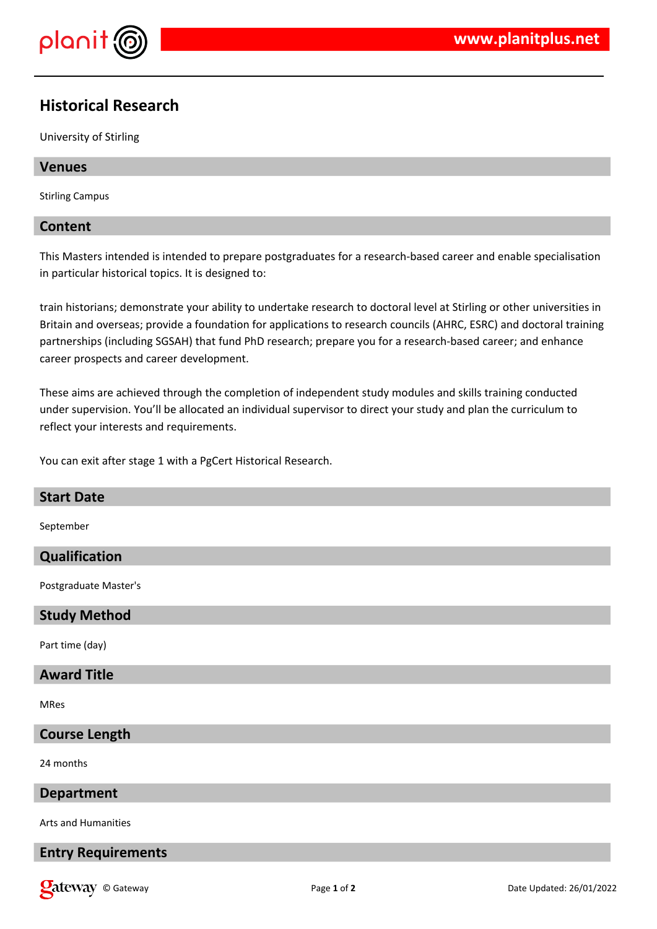

# **Historical Research**

University of Stirling

# **Venues**

Stirling Campus

# **Content**

This Masters intended is intended to prepare postgraduates for a research-based career and enable specialisation in particular historical topics. It is designed to:

train historians; demonstrate your ability to undertake research to doctoral level at Stirling or other universities in Britain and overseas; provide a foundation for applications to research councils (AHRC, ESRC) and doctoral training partnerships (including SGSAH) that fund PhD research; prepare you for a research-based career; and enhance career prospects and career development.

These aims are achieved through the completion of independent study modules and skills training conducted under supervision. You'll be allocated an individual supervisor to direct your study and plan the curriculum to reflect your interests and requirements.

You can exit after stage 1 with a PgCert Historical Research.

| <b>Start Date</b>     |
|-----------------------|
| September             |
| Qualification         |
| Postgraduate Master's |
| <b>Study Method</b>   |
| Part time (day)       |
| <b>Award Title</b>    |
| MRes                  |
| <b>Course Length</b>  |
| 24 months             |
| <b>Department</b>     |
| Arts and Humanities   |

# **Entry Requirements**